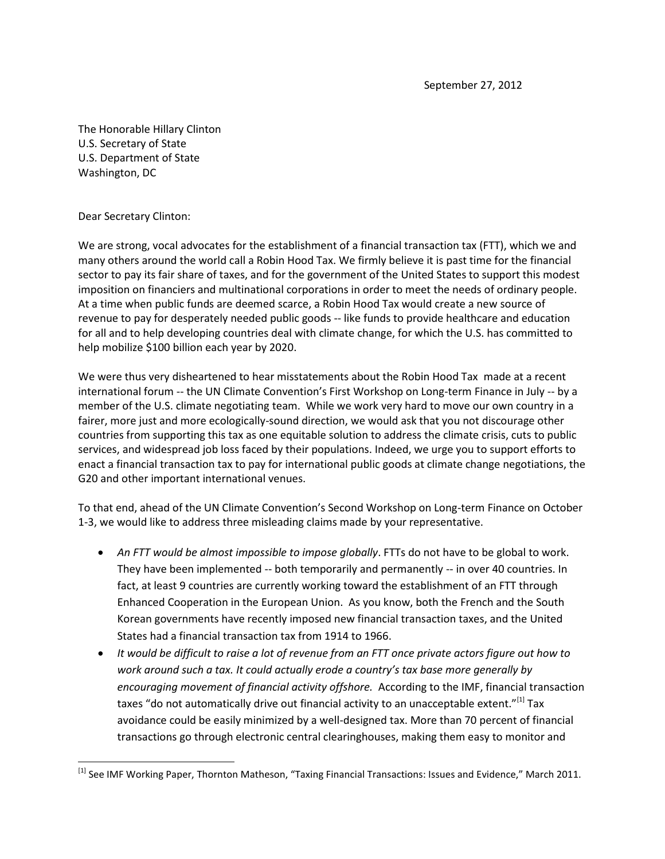September 27, 2012

The Honorable Hillary Clinton U.S. Secretary of State U.S. Department of State Washington, DC

Dear Secretary Clinton:

 $\overline{\phantom{a}}$ 

We are strong, vocal advocates for the establishment of a financial transaction tax (FTT), which we and many others around the world call a Robin Hood Tax. We firmly believe it is past time for the financial sector to pay its fair share of taxes, and for the government of the United States to support this modest imposition on financiers and multinational corporations in order to meet the needs of ordinary people. At a time when public funds are deemed scarce, a Robin Hood Tax would create a new source of revenue to pay for desperately needed public goods -- like funds to provide healthcare and education for all and to help developing countries deal with climate change, for which the U.S. has committed to help mobilize \$100 billion each year by 2020.

We were thus very disheartened to hear misstatements about the Robin Hood Tax made at a recent international forum -- the UN Climate Convention's First Workshop on Long-term Finance in July -- by a member of the U.S. climate negotiating team. While we work very hard to move our own country in a fairer, more just and more ecologically-sound direction, we would ask that you not discourage other countries from supporting this tax as one equitable solution to address the climate crisis, cuts to public services, and widespread job loss faced by their populations. Indeed, we urge you to support efforts to enact a financial transaction tax to pay for international public goods at climate change negotiations, the G20 and other important international venues.

To that end, ahead of the UN Climate Convention's Second Workshop on Long-term Finance on October 1-3, we would like to address three misleading claims made by your representative.

- *An FTT would be almost impossible to impose globally*. FTTs do not have to be global to work. They have been implemented -- both temporarily and permanently -- in over 40 countries. In fact, at least 9 countries are currently working toward the establishment of an FTT through Enhanced Cooperation in the European Union. As you know, both the French and the South Korean governments have recently imposed new financial transaction taxes, and the United States had a financial transaction tax from 1914 to 1966.
- *It would be difficult to raise a lot of revenue from an FTT once private actors figure out how to work around such a tax. It could actually erode a country's tax base more generally by encouraging movement of financial activity offshore.* According to the IMF, financial transaction taxes "do not automatically drive out financial activity to an unacceptable extent."<sup>[1]</sup> Tax avoidance could be easily minimized by a well-designed tax. More than 70 percent of financial transactions go through electronic central clearinghouses, making them easy to monitor and

<sup>&</sup>lt;sup>[1]</sup> See IMF Working Paper, Thornton Matheson, "Taxing Financial Transactions: Issues and Evidence," March 2011.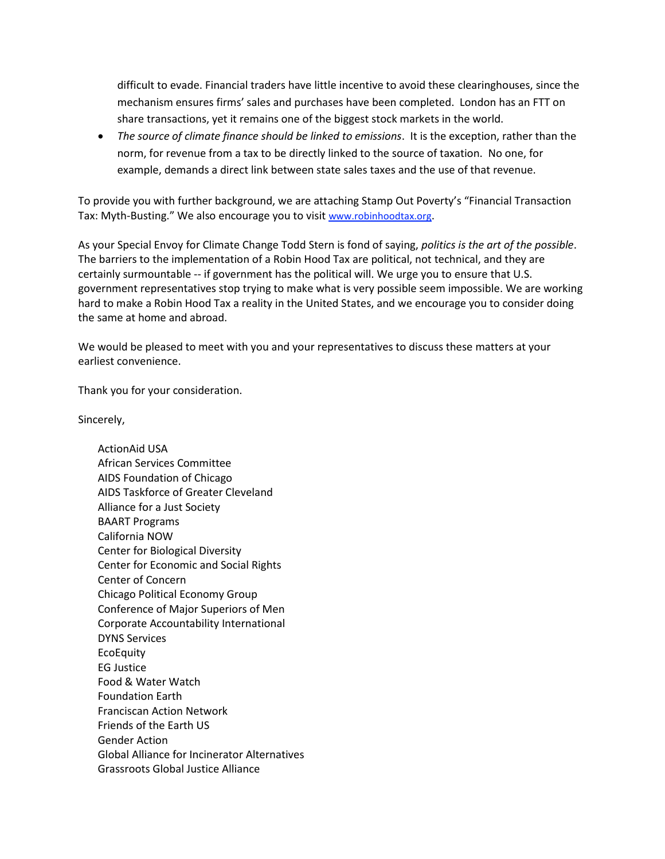difficult to evade. Financial traders have little incentive to avoid these clearinghouses, since the mechanism ensures firms' sales and purchases have been completed. London has an FTT on share transactions, yet it remains one of the biggest stock markets in the world.

 *The source of climate finance should be linked to emissions*. It is the exception, rather than the norm, for revenue from a tax to be directly linked to the source of taxation. No one, for example, demands a direct link between state sales taxes and the use of that revenue.

To provide you with further background, we are attaching Stamp Out Poverty's "Financial Transaction Tax: Myth-Busting." We also encourage you to visit [www.robinhoodtax.org](http://www.robinhoodtax.org/).

As your Special Envoy for Climate Change Todd Stern is fond of saying, *politics is the art of the possible*. The barriers to the implementation of a Robin Hood Tax are political, not technical, and they are certainly surmountable -- if government has the political will. We urge you to ensure that U.S. government representatives stop trying to make what is very possible seem impossible. We are working hard to make a Robin Hood Tax a reality in the United States, and we encourage you to consider doing the same at home and abroad.

We would be pleased to meet with you and your representatives to discuss these matters at your earliest convenience.

Thank you for your consideration.

Sincerely,

ActionAid USA African Services Committee AIDS Foundation of Chicago AIDS Taskforce of Greater Cleveland Alliance for a Just Society BAART Programs California NOW Center for Biological Diversity Center for Economic and Social Rights Center of Concern Chicago Political Economy Group Conference of Major Superiors of Men Corporate Accountability International DYNS Services **EcoEquity** EG Justice Food & Water Watch Foundation Earth Franciscan Action Network Friends of the Earth US Gender Action Global Alliance for Incinerator Alternatives Grassroots Global Justice Alliance